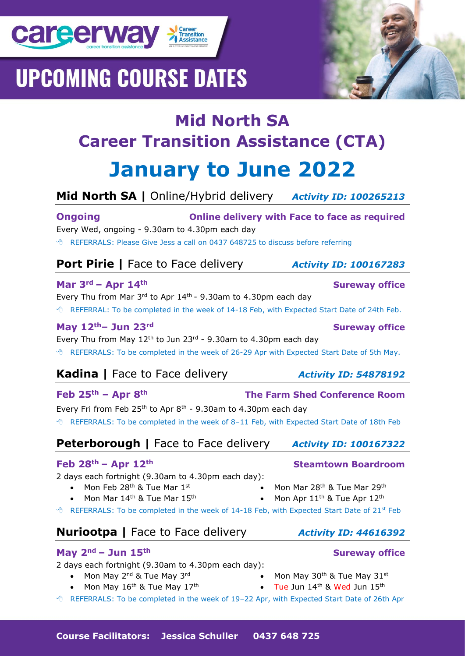



# **Mid North SA |** Online/Hybrid delivery *Activity ID: 100265213*

**Ongoing Online delivery with Face to face as required** Every Wed, ongoing - 9.30am to 4.30pm each day REFERRALS: Please Give Jess a call on 0437 648725 to discuss before referring

| <b>Port Pirie</b>   Face to Face delivery |  |
|-------------------------------------------|--|
|                                           |  |

## **Mar 3rd – Apr 14th Sureway office**

**career way > Transitioner Career** 

**UPCOMING COURSE DATES** 

Every Thu from Mar  $3<sup>rd</sup>$  to Apr  $14<sup>th</sup>$  - 9.30am to 4.30pm each day

REFERRAL: To be completed in the week of 14-18 Feb, with Expected Start Date of 24th Feb.

## **May 12th– Jun 23rd Sureway office**

Every Thu from May  $12<sup>th</sup>$  to Jun 23<sup>rd</sup> - 9.30am to 4.30pm each day <sup>®</sup> REFERRALS: To be completed in the week of 26-29 Apr with Expected Start Date of 5th May.

# **Kadina** | Face to Face delivery *Activity ID: 54878192*

### **Feb 25th – Apr 8th The Farm Shed Conference Room**

Every Fri from Feb  $25<sup>th</sup>$  to Apr 8<sup>th</sup> - 9.30am to 4.30pm each day REFERRALS: To be completed in the week of 8–11 Feb, with Expected Start Date of 18th Feb

# **Peterborough |** Face to Face delivery *Activity ID: 100167322*

### **Feb 28th – Apr 12th Steamtown Boardroom**

2 days each fortnight (9.30am to 4.30pm each day):

- Mon Feb 28<sup>th</sup> & Tue Mar 1st
	- Mon Mar 14<sup>th</sup> & Tue Mar 15<sup>th</sup>
- <sup>®</sup> REFERRALS: To be completed in the week of 14-18 Feb, with Expected Start Date of 21<sup>st</sup> Feb

# **Nuriootpa** | Face to Face delivery *Activity ID: 44616392*

### **May 2nd – Jun 15th Sureway office**

2 days each fortnight (9.30am to 4.30pm each day):

- Mon May 2<sup>nd</sup> & Tue May 3<sup>rd</sup>
- Mon May  $16^{th}$  & Tue May  $17^{th}$
- Mon May 30<sup>th</sup> & Tue May 31<sup>st</sup><br>• Tue Jun 14<sup>th & Wed Jun 15th</sup>
	- Tue Jun  $14<sup>th</sup>$  & Wed Jun  $15<sup>th</sup>$

• Mon Mar 28<sup>th</sup> & Tue Mar 29<sup>th</sup> • Mon Apr  $11^{\text{th}}$  & Tue Apr  $12^{\text{th}}$ 

REFERRALS: To be completed in the week of 19–22 Apr, with Expected Start Date of 26th Apr

# **Port Pirie |** Face to Face delivery *Activity ID: 100167283*

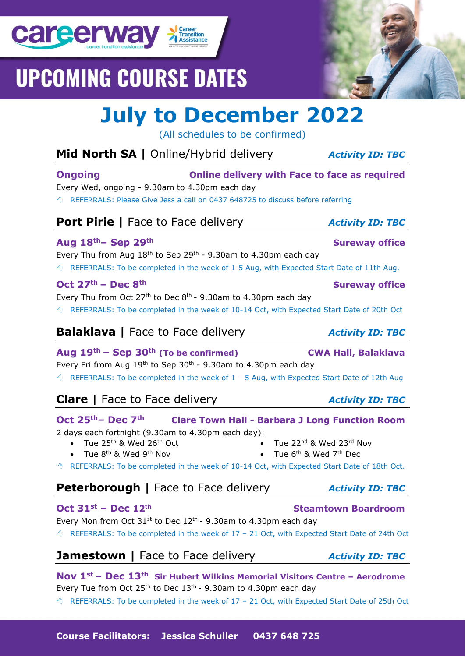**Course Facilitators: Jessica Schuller 0437 648 725**

# **UPCOMING COURSE DATES**

# **July to December 2022**

(All schedules to be confirmed)

| Mid North SA   Online/Hybrid delivery                                                                                                                                                                                                                                                                                                                                           | <b>Activity ID: TBC</b>                         |
|---------------------------------------------------------------------------------------------------------------------------------------------------------------------------------------------------------------------------------------------------------------------------------------------------------------------------------------------------------------------------------|-------------------------------------------------|
| <b>Ongoing</b><br><b>Online delivery with Face to face as required</b><br>Every Wed, ongoing - 9.30am to 4.30pm each day<br><sup>6</sup> REFERRALS: Please Give Jess a call on 0437 648725 to discuss before referring                                                                                                                                                          |                                                 |
| <b>Port Pirie</b>   Face to Face delivery                                                                                                                                                                                                                                                                                                                                       | <b>Activity ID: TBC</b>                         |
| Aug 18th - Sep 29th<br>Every Thu from Aug $18th$ to Sep 29 <sup>th</sup> - 9.30am to 4.30pm each day<br><sup>6</sup> REFERRALS: To be completed in the week of 1-5 Aug, with Expected Start Date of 11th Aug.                                                                                                                                                                   | <b>Sureway office</b>                           |
| Oct $27th$ – Dec $8th$<br>Every Thu from Oct $27th$ to Dec 8 <sup>th</sup> - 9.30am to 4.30pm each day<br><sup>t</sup> REFERRALS: To be completed in the week of 10-14 Oct, with Expected Start Date of 20th Oct                                                                                                                                                                | <b>Sureway office</b>                           |
| <b>Balaklava</b>   Face to Face delivery                                                                                                                                                                                                                                                                                                                                        | <b>Activity ID: TBC</b>                         |
| Aug $19th$ – Sep 30 <sup>th</sup> (To be confirmed)<br>Every Fri from Aug 19th to Sep 30th - 9.30am to 4.30pm each day<br><sup>6</sup> REFERRALS: To be completed in the week of 1 - 5 Aug, with Expected Start Date of 12th Aug                                                                                                                                                | <b>CWA Hall, Balaklava</b>                      |
| <b>Clare</b>   Face to Face delivery                                                                                                                                                                                                                                                                                                                                            | <b>Activity ID: TBC</b>                         |
| Oct 25th - Dec 7th<br><b>Clare Town Hall - Barbara J Long Function Room</b><br>2 days each fortnight (9.30am to 4.30pm each day):<br>Tue 25 <sup>th</sup> & Wed 26 <sup>th</sup> Oct<br>Tue 8 <sup>th</sup> & Wed 9 <sup>th</sup> Nov<br>• Tue $6th$ & Wed $7th$ Dec<br><sup>6</sup> REFERRALS: To be completed in the week of 10-14 Oct, with Expected Start Date of 18th Oct. | Tue 22 <sup>nd</sup> & Wed 23 <sup>rd</sup> Nov |
| <b>Peterborough</b>   Face to Face delivery                                                                                                                                                                                                                                                                                                                                     | <b>Activity ID: TBC</b>                         |
| Oct $31^{st}$ – Dec $12^{th}$<br>Every Mon from Oct $31^{st}$ to Dec $12^{th}$ - 9.30am to 4.30pm each day<br><sup>6</sup> REFERRALS: To be completed in the week of 17 - 21 Oct, with Expected Start Date of 24th Oct                                                                                                                                                          | <b>Steamtown Boardroom</b>                      |
| <b>Jamestown</b>   Face to Face delivery                                                                                                                                                                                                                                                                                                                                        | <b>Activity ID: TBC</b>                         |
| Nov $1^{st}$ – Dec $13^{th}$ Sir Hubert Wilkins Memorial Visitors Centre – Aerodrome<br>Every Tue from Oct $25th$ to Dec 13 <sup>th</sup> - 9.30am to 4.30pm each day                                                                                                                                                                                                           |                                                 |

REFERRALS: To be completed in the week of 17 – 21 Oct, with Expected Start Date of 25th Oct